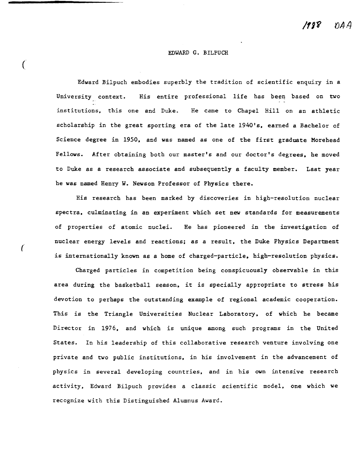# EDWARD G. BILPUCH

(

Edward Bilpuch embodies superbly the tradition of scientific enquiry in a University context. His entire professional life has been based on two institutions. this one and Duke. He came to Chapel Hill on an athletic scholarship in the great sporting era of the late 1940's. earned a Bachelor of Science degree in 1950. and was named as one of the first graduate Morehead Fellows. After obtaining both our master's and our doctor's degrees, he moved to Duke as a research associate and subsequently a faculty member. Last year he was named Henry W. Newson Professor of Physics there.

His research has been marked by discoveries in high-resolution nuclear spectra. culminating in an experiment which set new standards for measurements of properties of atomic nuclei. He has pioneered in the investigation of nuclear energy levels and reactions; as a result, the Duke Physics Department is internationally known as a home of charged-particle. high-resolution physics.

Charged particles in competition being conspicuously observable in this area during the basketball season. it is specially appropriate to stress his devotion to perhaps the outstanding example of regional academic cooperation. This is the Triangle Universities Nuclear Laboratory. of which he became Director in 1976. and which is unique among such programs in the United States. In his leadership of this collaborative research venture involving one private and two public institutions. in his involvement in the advancement of physics in several developing countries. and in his own intensive research activity. Edward Bi1puch provides a classic scientific model. one which we recognize with this Distinguished Alumnus Award.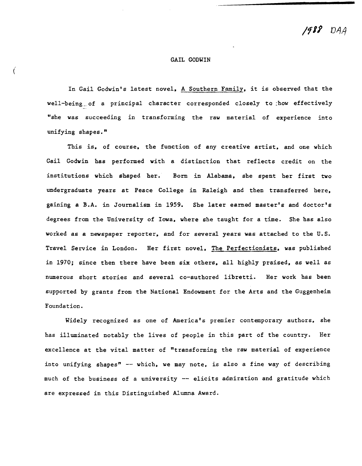1988 DAA

### GAIL GODWIN

In Gail Godwin's latest novel. A Southern Family. it is observed that the well-being\_of a principal character corresponded closely to :how effectively "she was succeeding in transforming the raw material of experience into unifying shapes."

This is, of course, the function of any creative artist, and one which Gail Godwin has performed with a distinction that reflects credit on the institutions which shaped her. Born in Alabama. she spent her first two undergraduate years at Peace College in Raleigh and then transferred here. gaining a B.A. in Journalism in 1959. She later earned master's and doctor's degrees from the University of Iowa. where she taught for a time. She has also worked as a newspaper reporter. and for several years was attached to the U.S. Travel Service in London. Her first novel. The Perfectionists. was published in 1970; since then there have been six others. all highly praised. as well as numerous short stories and several co-authored libretti. Her work has been supported by grants from the National Endowment for the Arts and the Guggenheim Foundation.

Widely recognized as one of America's premier contemporary authors. she has illuminated notably the lives of people in this part of the country. Her excellence at the vital matter of "transforming the raw material of experience into unifying shapes" -- which, we may note, is also a fine way of describing much of the business of a university -- elicits admiration and gratitude which are expressed in this Distinguished Alumna Award.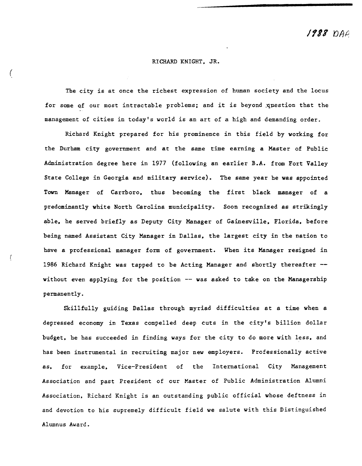**1988** DAA

## RICHARD KNIGHT. JR.

(

The city is at once the richest expression of human society and the locus for some of our most intractable problems; and it is beyond question that the management of cities in today's world is an art of a high and demanding order.

Richard Knight prepared for his prominence in this field by working for the Durham city government and at the same time earning a Master of Public Administration degree here in 1977 (following an earlier B.A. from Fort Valley State College in Georgia and military service). The same year he was appointed Town Manager of Carrboro. thus becoming the first black manager of a predominantly white North Carolina municipality. Soon recognized as strikingly able. he served briefly as Deputy City Manager of Gainesville. Florida. before being named Assistant City Manager in Dallas. the largest city in the nation to have a professional manager form of government. When its Manager resigned in 1986 Richard Knight was tapped to be Acting Manager and shortly thereafter without even applying for the position -- was asked to take on the Managership permanently.

Skillfully guiding Dallas through myriad difficulties at a time when a depressed economy in Texas compelled deep cuts in the city's billion dollar budget, he has succeeded in finding ways for the city to do more with less, and has been instrumental in recruiting major new employers. Professionally active as. for example. Vice-President of the International City Management Association and past President of our Master of Public Administration Alumni Association. Richard Knight is an outstanding public official whose deftness in and devotion to his supremely difficult field we salute with this Distinguished Alumnus Award.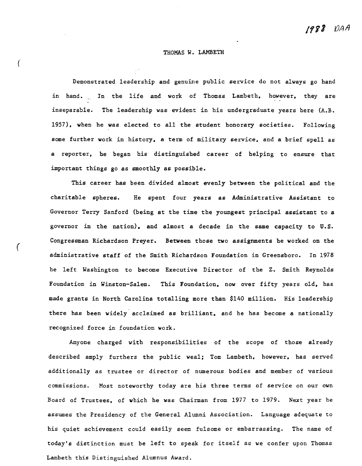# THOMAS W. LAMBETH

 $\big($ 

(

Demonstrated leadership and genuine public service do not always go hand in hand. In the life and work of Thomas Lambeth, however, they are inseparable. The leadership was evident in his undergraduate years here (A.B. 1957), when he was elected to all the student honorary societies. Following some further work in history, a term of military service, and a brief spell as a reporter. he began his distinguished career of helping to ensure that important things go as smoothly as possible.

This career has been divided almost evenly between the political and the charitable spheres. He spent four years as Administrative Assistant to Governor Terry Sanford (being at the time the youngest principal assistant to a governor in the nation). and almost a decade in the same capacity to U. S. Congressman Richardson Preyer. Between those two assignments he worked on the administrative staff of the Smith Richardson Foundation in Greensboro. In 1978 he left 'Washington to become Executive Director of the Z. Smith Reynolds Foundation in Winston-Salem. This Foundation. now over fifty years old. has made grants in North Carolina totalling more than \$140 million. His leadership there has been widely' acclaimed as brilliant. and he has become a nationally recognized force in foundation work.

Anyone charged with responsibilities of the scope of those already described amply furthers the public weal; Tom Lambeth. however. has served additionally as trustee or director of numerous bodies and member of various commissions. Most noteworthy today are his three terms of service on our own Board of Trustees. of which he was Chairman from 1977 to 1979. Next year he assumes the Presidency of the General Alumni Association. Language adequate to his quiet achievement could easily seem fulsome or embarrassing. The name of today's distinction must be left to speak for itself as we confer upon Thomas Lambeth this Distinguished Alumnus Award.